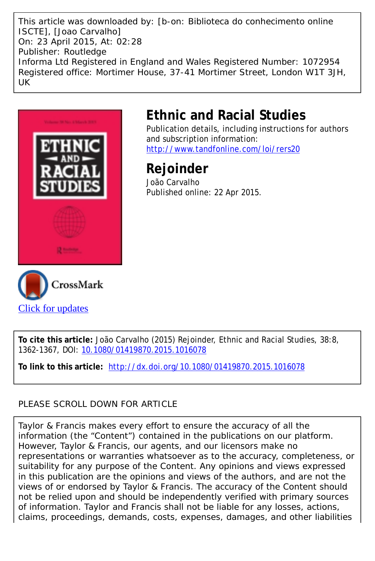This article was downloaded by: [b-on: Biblioteca do conhecimento online ISCTE], [Joao Carvalho] On: 23 April 2015, At: 02:28 Publisher: Routledge Informa Ltd Registered in England and Wales Registered Number: 1072954 Registered office: Mortimer House, 37-41 Mortimer Street, London W1T 3JH, UK



[Click for updates](http://crossmark.crossref.org/dialog/?doi=10.1080/01419870.2015.1016078&domain=pdf&date_stamp=2015-04-22)

# **Ethnic and Racial Studies**

Publication details, including instructions for authors and subscription information: <http://www.tandfonline.com/loi/rers20>

**Rejoinder** João Carvalho Published online: 22 Apr 2015.

**To cite this article:** João Carvalho (2015) Rejoinder, Ethnic and Racial Studies, 38:8, 1362-1367, DOI: [10.1080/01419870.2015.1016078](http://www.tandfonline.com/action/showCitFormats?doi=10.1080/01419870.2015.1016078)

**To link to this article:** <http://dx.doi.org/10.1080/01419870.2015.1016078>

### PLEASE SCROLL DOWN FOR ARTICLE

Taylor & Francis makes every effort to ensure the accuracy of all the information (the "Content") contained in the publications on our platform. However, Taylor & Francis, our agents, and our licensors make no representations or warranties whatsoever as to the accuracy, completeness, or suitability for any purpose of the Content. Any opinions and views expressed in this publication are the opinions and views of the authors, and are not the views of or endorsed by Taylor & Francis. The accuracy of the Content should not be relied upon and should be independently verified with primary sources of information. Taylor and Francis shall not be liable for any losses, actions, claims, proceedings, demands, costs, expenses, damages, and other liabilities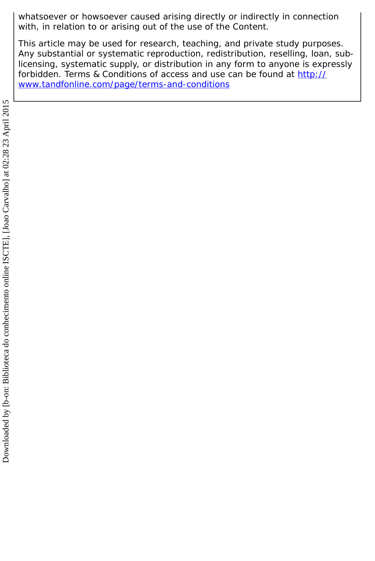whatsoever or howsoever caused arising directly or indirectly in connection with, in relation to or arising out of the use of the Content.

This article may be used for research, teaching, and private study purposes. Any substantial or systematic reproduction, redistribution, reselling, loan, sublicensing, systematic supply, or distribution in any form to anyone is expressly forbidden. Terms & Conditions of access and use can be found at [http://](http://www.tandfonline.com/page/terms-and-conditions) [www.tandfonline.com/page/terms-and-conditions](http://www.tandfonline.com/page/terms-and-conditions)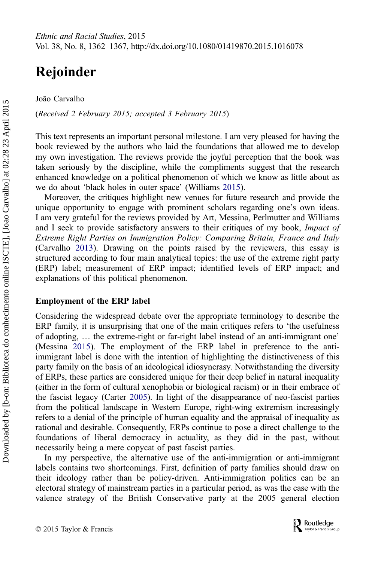## Rejoinder

João Carvalho

(Received 2 February 2015; accepted 3 February 2015)

This text represents an important personal milestone. I am very pleased for having the book reviewed by the authors who laid the foundations that allowed me to develop my own investigation. The reviews provide the joyful perception that the book was taken seriously by the discipline, while the compliments suggest that the research enhanced knowledge on a political phenomenon of which we know as little about as we do about 'black holes in outer space' (Williams [2015\)](#page-7-0).

Moreover, the critiques highlight new venues for future research and provide the unique opportunity to engage with prominent scholars regarding one's own ideas. I am very grateful for the reviews provided by Art, Messina, Perlmutter and Williams and I seek to provide satisfactory answers to their critiques of my book, Impact of Extreme Right Parties on Immigration Policy: Comparing Britain, France and Italy (Carvalho [2013](#page-6-0)). Drawing on the points raised by the reviewers, this essay is structured according to four main analytical topics: the use of the extreme right party (ERP) label; measurement of ERP impact; identified levels of ERP impact; and explanations of this political phenomenon.

#### Employment of the ERP label

Considering the widespread debate over the appropriate terminology to describe the ERP family, it is unsurprising that one of the main critiques refers to 'the usefulness of adopting, … the extreme-right or far-right label instead of an anti-immigrant one' (Messina [2015\)](#page-6-0). The employment of the ERP label in preference to the antiimmigrant label is done with the intention of highlighting the distinctiveness of this party family on the basis of an ideological idiosyncrasy. Notwithstanding the diversity of ERPs, these parties are considered unique for their deep belief in natural inequality (either in the form of cultural xenophobia or biological racism) or in their embrace of the fascist legacy (Carter [2005\)](#page-6-0). In light of the disappearance of neo-fascist parties from the political landscape in Western Europe, right-wing extremism increasingly refers to a denial of the principle of human equality and the appraisal of inequality as rational and desirable. Consequently, ERPs continue to pose a direct challenge to the foundations of liberal democracy in actuality, as they did in the past, without necessarily being a mere copycat of past fascist parties.

In my perspective, the alternative use of the anti-immigration or anti-immigrant labels contains two shortcomings. First, definition of party families should draw on their ideology rather than be policy-driven. Anti-immigration politics can be an electoral strategy of mainstream parties in a particular period, as was the case with the valence strategy of the British Conservative party at the 2005 general election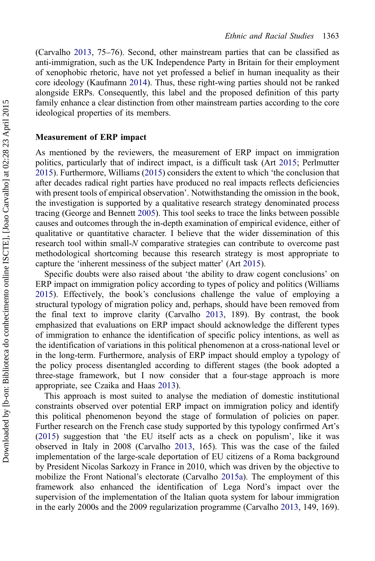(Carvalho [2013](#page-6-0), 75–76). Second, other mainstream parties that can be classified as anti-immigration, such as the UK Independence Party in Britain for their employment of xenophobic rhetoric, have not yet professed a belief in human inequality as their core ideology (Kaufmann [2014\)](#page-6-0). Thus, these right-wing parties should not be ranked alongside ERPs. Consequently, this label and the proposed definition of this party family enhance a clear distinction from other mainstream parties according to the core ideological properties of its members.

#### Measurement of ERP impact

As mentioned by the reviewers, the measurement of ERP impact on immigration politics, particularly that of indirect impact, is a difficult task (Art [2015](#page-6-0); Perlmutter [2015\)](#page-6-0). Furthermore, Williams ([2015\)](#page-7-0) considers the extent to which 'the conclusion that after decades radical right parties have produced no real impacts reflects deficiencies with present tools of empirical observation'. Notwithstanding the omission in the book, the investigation is supported by a qualitative research strategy denominated process tracing (George and Bennett [2005](#page-6-0)). This tool seeks to trace the links between possible causes and outcomes through the in-depth examination of empirical evidence, either of qualitative or quantitative character. I believe that the wider dissemination of this research tool within small-N comparative strategies can contribute to overcome past methodological shortcoming because this research strategy is most appropriate to capture the 'inherent messiness of the subject matter' (Art [2015\)](#page-6-0).

Specific doubts were also raised about 'the ability to draw cogent conclusions' on ERP impact on immigration policy according to types of policy and politics (Williams [2015\)](#page-7-0). Effectively, the book's conclusions challenge the value of employing a structural typology of migration policy and, perhaps, should have been removed from the final text to improve clarity (Carvalho [2013,](#page-6-0) 189). By contrast, the book emphasized that evaluations on ERP impact should acknowledge the different types of immigration to enhance the identification of specific policy intentions, as well as the identification of variations in this political phenomenon at a cross-national level or in the long-term. Furthermore, analysis of ERP impact should employ a typology of the policy process disentangled according to different stages (the book adopted a three-stage framework, but I now consider that a four-stage approach is more appropriate, see Czaika and Haas [2013](#page-6-0)).

This approach is most suited to analyse the mediation of domestic institutional constraints observed over potential ERP impact on immigration policy and identify this political phenomenon beyond the stage of formulation of policies on paper. Further research on the French case study supported by this typology confirmed Art's [\(2015](#page-6-0)) suggestion that 'the EU itself acts as a check on populism', like it was observed in Italy in 2008 (Carvalho [2013](#page-6-0), 165). This was the case of the failed implementation of the large-scale deportation of EU citizens of a Roma background by President Nicolas Sarkozy in France in 2010, which was driven by the objective to mobilize the Front National's electorate (Carvalho [2015a\)](#page-6-0). The employment of this framework also enhanced the identification of Lega Nord's impact over the supervision of the implementation of the Italian quota system for labour immigration in the early 2000s and the 2009 regularization programme (Carvalho [2013](#page-6-0), 149, 169).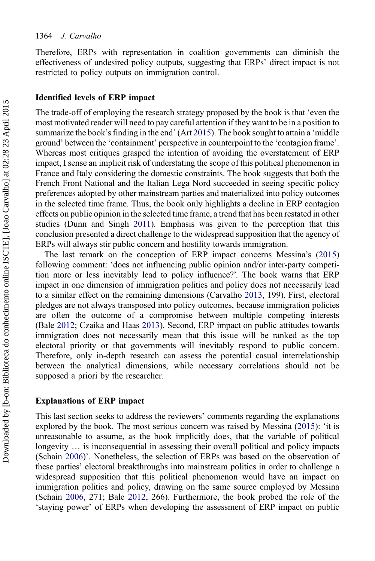Therefore, ERPs with representation in coalition governments can diminish the effectiveness of undesired policy outputs, suggesting that ERPs' direct impact is not restricted to policy outputs on immigration control.

#### Identified levels of ERP impact

The trade-off of employing the research strategy proposed by the book is that 'even the most motivated reader will need to pay careful attention if they want to be in a position to summarize the book's finding in the end' (Art [2015](#page-6-0)). The book sought to attain a 'middle ground' between the 'containment' perspective in counterpoint to the 'contagion frame'. Whereas most critiques grasped the intention of avoiding the overstatement of ERP impact, I sense an implicit risk of understating the scope of this political phenomenon in France and Italy considering the domestic constraints. The book suggests that both the French Front National and the Italian Lega Nord succeeded in seeing specific policy preferences adopted by other mainstream parties and materialized into policy outcomes in the selected time frame. Thus, the book only highlights a decline in ERP contagion effects on public opinion in the selected time frame, a trend that has been restated in other studies (Dunn and Singh [2011](#page-6-0)). Emphasis was given to the perception that this conclusion presented a direct challenge to the widespread supposition that the agency of ERPs will always stir public concern and hostility towards immigration.

The last remark on the conception of ERP impact concerns Messina's [\(2015](#page-6-0)) following comment: 'does not influencing public opinion and/or inter-party competition more or less inevitably lead to policy influence?'. The book warns that ERP impact in one dimension of immigration politics and policy does not necessarily lead to a similar effect on the remaining dimensions (Carvalho [2013,](#page-6-0) 199). First, electoral pledges are not always transposed into policy outcomes, because immigration policies are often the outcome of a compromise between multiple competing interests (Bale [2012](#page-6-0); Czaika and Haas [2013\)](#page-6-0). Second, ERP impact on public attitudes towards immigration does not necessarily mean that this issue will be ranked as the top electoral priority or that governments will inevitably respond to public concern. Therefore, only in-depth research can assess the potential casual interrelationship between the analytical dimensions, while necessary correlations should not be supposed a priori by the researcher.

#### Explanations of ERP impact

This last section seeks to address the reviewers' comments regarding the explanations explored by the book. The most serious concern was raised by Messina [\(2015\)](#page-6-0): 'it is unreasonable to assume, as the book implicitly does, that the variable of political longevity … is inconsequential in assessing their overall political and policy impacts (Schain [2006\)](#page-7-0)'. Nonetheless, the selection of ERPs was based on the observation of these parties' electoral breakthroughs into mainstream politics in order to challenge a widespread supposition that this political phenomenon would have an impact on immigration politics and policy, drawing on the same source employed by Messina (Schain [2006](#page-7-0), 271; Bale [2012](#page-6-0), 266). Furthermore, the book probed the role of the 'staying power' of ERPs when developing the assessment of ERP impact on public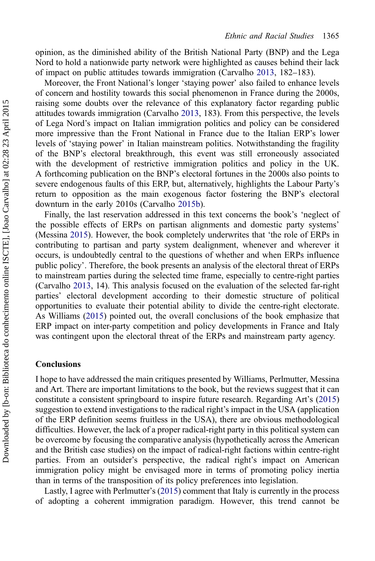opinion, as the diminished ability of the British National Party (BNP) and the Lega Nord to hold a nationwide party network were highlighted as causes behind their lack of impact on public attitudes towards immigration (Carvalho [2013,](#page-6-0) 182–183).

Moreover, the Front National's longer 'staying power' also failed to enhance levels of concern and hostility towards this social phenomenon in France during the 2000s, raising some doubts over the relevance of this explanatory factor regarding public attitudes towards immigration (Carvalho [2013,](#page-6-0) 183). From this perspective, the levels of Lega Nord's impact on Italian immigration politics and policy can be considered more impressive than the Front National in France due to the Italian ERP's lower levels of 'staying power' in Italian mainstream politics. Notwithstanding the fragility of the BNP's electoral breakthrough, this event was still erroneously associated with the development of restrictive immigration politics and policy in the UK. A forthcoming publication on the BNP's electoral fortunes in the 2000s also points to severe endogenous faults of this ERP, but, alternatively, highlights the Labour Party's return to opposition as the main exogenous factor fostering the BNP's electoral downturn in the early 2010s (Carvalho [2015b](#page-6-0)).

Finally, the last reservation addressed in this text concerns the book's 'neglect of the possible effects of ERPs on partisan alignments and domestic party systems' (Messina [2015\)](#page-6-0). However, the book completely underwrites that 'the role of ERPs in contributing to partisan and party system dealignment, whenever and wherever it occurs, is undoubtedly central to the questions of whether and when ERPs influence public policy'. Therefore, the book presents an analysis of the electoral threat of ERPs to mainstream parties during the selected time frame, especially to centre-right parties (Carvalho [2013](#page-6-0), 14). This analysis focused on the evaluation of the selected far-right parties' electoral development according to their domestic structure of political opportunities to evaluate their potential ability to divide the centre-right electorate. As Williams [\(2015](#page-7-0)) pointed out, the overall conclusions of the book emphasize that ERP impact on inter-party competition and policy developments in France and Italy was contingent upon the electoral threat of the ERPs and mainstream party agency.

#### Conclusions

I hope to have addressed the main critiques presented by Williams, Perlmutter, Messina and Art. There are important limitations to the book, but the reviews suggest that it can constitute a consistent springboard to inspire future research. Regarding Art's [\(2015](#page-6-0)) suggestion to extend investigations to the radical right's impact in the USA (application of the ERP definition seems fruitless in the USA), there are obvious methodological difficulties. However, the lack of a proper radical-right party in this political system can be overcome by focusing the comparative analysis (hypothetically across the American and the British case studies) on the impact of radical-right factions within centre-right parties. From an outsider's perspective, the radical right's impact on American immigration policy might be envisaged more in terms of promoting policy inertia than in terms of the transposition of its policy preferences into legislation.

Lastly, I agree with Perlmutter's [\(2015](#page-6-0)) comment that Italy is currently in the process of adopting a coherent immigration paradigm. However, this trend cannot be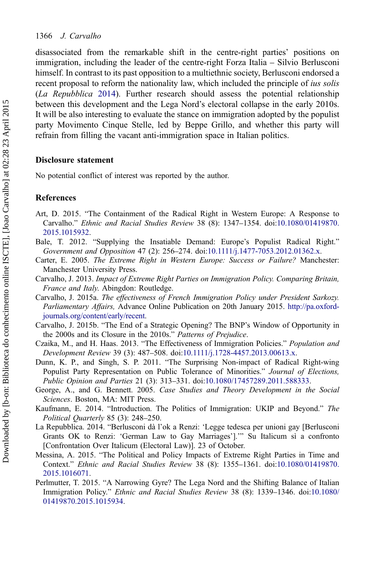#### <span id="page-6-0"></span>1366 J. Carvalho

disassociated from the remarkable shift in the centre-right parties' positions on immigration, including the leader of the centre-right Forza Italia – Silvio Berlusconi himself. In contrast to its past opposition to a multiethnic society, Berlusconi endorsed a recent proposal to reform the nationality law, which included the principle of *ius solis* (La Repubblica 2014). Further research should assess the potential relationship between this development and the Lega Nord's electoral collapse in the early 2010s. It will be also interesting to evaluate the stance on immigration adopted by the populist party Movimento Cinque Stelle, led by Beppe Grillo, and whether this party will refrain from filling the vacant anti-immigration space in Italian politics.

#### Disclosure statement

No potential conflict of interest was reported by the author.

#### References

- Art, D. 2015. "The Containment of the Radical Right in Western Europe: A Response to Carvalho." Ethnic and Racial Studies Review 38 (8): 1347–1354. doi:[10.1080/01419870.](http://dx.doi.org/10.1080/01419870.2015.1015932) [2015.1015932](http://dx.doi.org/10.1080/01419870.2015.1015932).
- Bale, T. 2012. "Supplying the Insatiable Demand: Europe's Populist Radical Right." Government and Opposition 47 (2): 256–274. doi[:10.1111/j.1477-7053.2012.01362.x.](http://dx.doi.org/10.1111/j.1477-7053.2012.01362.x)
- Carter, E. 2005. The Extreme Right in Western Europe: Success or Failure? Manchester: Manchester University Press.
- Carvalho, J. 2013. Impact of Extreme Right Parties on Immigration Policy. Comparing Britain, France and Italy. Abingdon: Routledge.
- Carvalho, J. 2015a. The effectiveness of French Immigration Policy under President Sarkozy. Parliamentary Affairs, Advance Online Publication on 20th January 2015. [http://pa.oxford](http://pa.oxfordjournals.org/content/early/recent)[journals.org/content/early/recent.](http://pa.oxfordjournals.org/content/early/recent)
- Carvalho, J. 2015b. "The End of a Strategic Opening? The BNP's Window of Opportunity in the 2000s and its Closure in the 2010s." Patterns of Prejudice.
- Czaika, M., and H. Haas. 2013. "The Effectiveness of Immigration Policies." Population and Development Review 39 (3): 487–508. doi:[10.1111/j.1728-4457.2013.00613.x.](http://dx.doi.org/10.1111/j.1728-4457.2013.00613.x)
- Dunn, K. P., and Singh, S. P. 2011. "The Surprising Non-impact of Radical Right-wing Populist Party Representation on Public Tolerance of Minorities." Journal of Elections, Public Opinion and Parties 21 (3): 313–331. doi[:10.1080/17457289.2011.588333](http://dx.doi.org/10.1080/17457289.2011.588333).
- George, A., and G. Bennett. 2005. Case Studies and Theory Development in the Social Sciences. Boston, MA: MIT Press.
- Kaufmann, E. 2014. "Introduction. The Politics of Immigration: UKIP and Beyond." The Political Quarterly 85 (3): 248–250.
- La Repubblica. 2014. "Berlusconi dà l'ok a Renzi: 'Legge tedesca per unioni gay [Berlusconi Grants OK to Renzi: 'German Law to Gay Marriages'].'" Su Italicum sì a confronto [Confrontation Over Italicum (Electoral Law)]. 23 of October.
- Messina, A. 2015. "The Political and Policy Impacts of Extreme Right Parties in Time and Context." Ethnic and Racial Studies Review 38 (8): 1355–1361. doi:[10.1080/01419870.](http://dx.doi.org/10.1080/01419870.2015.1016071) [2015.1016071](http://dx.doi.org/10.1080/01419870.2015.1016071).
- Perlmutter, T. 2015. "A Narrowing Gyre? The Lega Nord and the Shifting Balance of Italian Immigration Policy." Ethnic and Racial Studies Review 38 (8): 1339–1346. doi[:10.1080/](http://dx.doi.org/10.1080/01419870.2015.1015934) [01419870.2015.1015934](http://dx.doi.org/10.1080/01419870.2015.1015934).